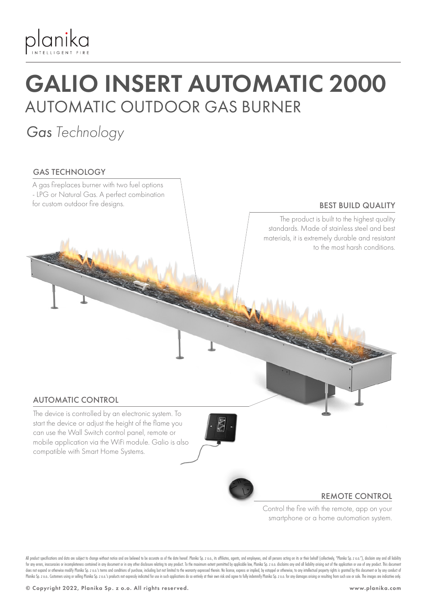

## GALIO INSERT AUTOMATIC 2000 AUTOMATIC OUTDOOR GAS BURNER

### *Gas Technology*

### GAS TECHNOLOGY



All product specifications and data are subject to change without notice and are believed to be accurate as of the date hereof. Planika Sp. z o.o., its affiliates, agents, and employees, and all persons acting on its or th for any errors, inaccuracies or incompleteness contained in any document or in any other disclosure relating to any product. To the maximum extent permitted by applicable law, Planika Sp. z o.o. disclaims any and all liabi does not expand or otherwise modify Planika Sp. 2 o.o.'s terms and conditions of purchase, including but not limited to the warranty expressed therein. No license, express or implied, by estoppel or otherwise, to any intel Planika Sp. z o.o. Customers using or selling Planika Sp. z o.o.'s products not expressly indicated for use in such applications do so entirely at their own risk and agree to fully indemnify Planika Sp. z o.o. for any dama